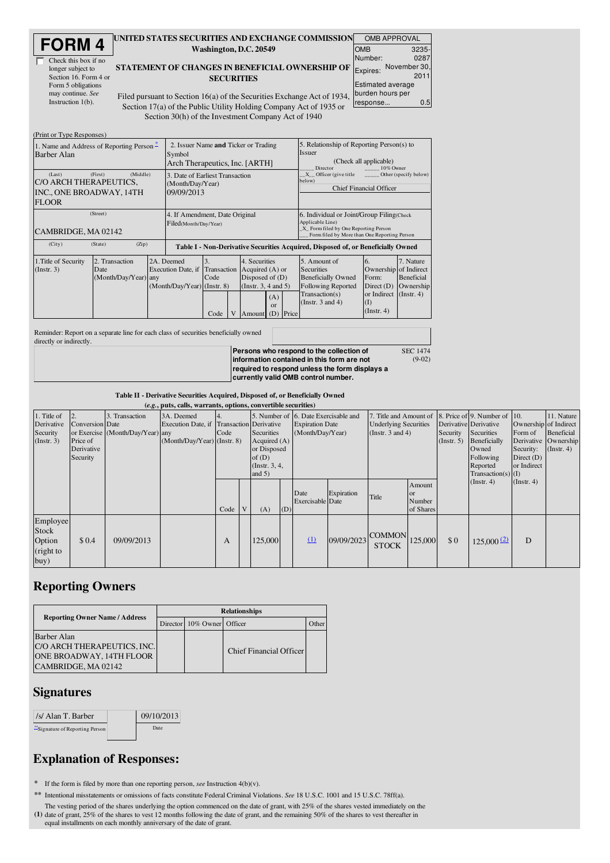| <b>FORM4</b> |
|--------------|
|--------------|

| Check this box if no  |
|-----------------------|
| longer subject to     |
| Section 16. Form 4 or |
| Form 5 obligations    |
| may continue. See     |
| Instruction $1(b)$ .  |

## UNITED STATES SECURITIES AND EXCHANGE COMMISSION Washington, D.C. 20549

STATEMENT OF CHANGES IN BENEFICIAL OWNERSHIP OF **SECURITIES** 

| Г | <b>OMB APPROVAL</b> |                          |       |  |  |  |  |  |  |
|---|---------------------|--------------------------|-------|--|--|--|--|--|--|
|   | <b>OMB</b>          |                          | 3235- |  |  |  |  |  |  |
|   | Number:             |                          | 0287  |  |  |  |  |  |  |
| F | Expires:            | November 30,             | 2011  |  |  |  |  |  |  |
|   | burden hours per    | <b>Estimated average</b> |       |  |  |  |  |  |  |
|   | response            |                          | 0.5   |  |  |  |  |  |  |
|   |                     |                          |       |  |  |  |  |  |  |

(9-02)

Filed pursuant to Section 16(a) of the Securities Exchange Act of 1934 Section 17(a) of the Public Utility Holding Company Act of 1935 or Section 30(h) of the Investment Company Act of 1940

| (Print or Type Responses)                                                               |                                                                                  |                                                                 |                                   |  |                                                                                                                           |                                                                                                                                                                                                      |                                                                                                                                                                                                                                           |                                                                                                                                 |                                                                                                |                                                                 |
|-----------------------------------------------------------------------------------------|----------------------------------------------------------------------------------|-----------------------------------------------------------------|-----------------------------------|--|---------------------------------------------------------------------------------------------------------------------------|------------------------------------------------------------------------------------------------------------------------------------------------------------------------------------------------------|-------------------------------------------------------------------------------------------------------------------------------------------------------------------------------------------------------------------------------------------|---------------------------------------------------------------------------------------------------------------------------------|------------------------------------------------------------------------------------------------|-----------------------------------------------------------------|
| 1. Name and Address of Reporting Person –<br>Barber Alan                                | 2. Issuer Name and Ticker or Trading<br>Symbol<br>Arch Therapeutics, Inc. [ARTH] |                                                                 |                                   |  |                                                                                                                           | 5. Relationship of Reporting Person(s) to<br>Issuer<br>(Check all applicable)<br>10% Owner<br>Director<br>X Officer (give title<br>Other (specify below)<br>below)<br><b>Chief Financial Officer</b> |                                                                                                                                                                                                                                           |                                                                                                                                 |                                                                                                |                                                                 |
| (First)<br>(Last)<br>C/O ARCH THERAPEUTICS,<br>INC., ONE BROADWAY, 14TH<br><b>FLOOR</b> | (Middle)<br>3. Date of Earliest Transaction<br>(Month/Day/Year)<br>09/09/2013    |                                                                 |                                   |  |                                                                                                                           |                                                                                                                                                                                                      |                                                                                                                                                                                                                                           |                                                                                                                                 |                                                                                                |                                                                 |
| (Street)<br>CAMBRIDGE, MA 02142<br>(City)<br>(State)                                    | (Zip)                                                                            | 4. If Amendment, Date Original<br>Filed(Month/Day/Year)         |                                   |  |                                                                                                                           |                                                                                                                                                                                                      | 6. Individual or Joint/Group Filing Check<br>Applicable Line)<br>X Form filed by One Reporting Person<br>Form filed by More than One Reporting Person<br>Table I - Non-Derivative Securities Acquired, Disposed of, or Beneficially Owned |                                                                                                                                 |                                                                                                |                                                                 |
| 1. Title of Security<br>(Instr. 3)                                                      | 2. Transaction<br>Date<br>(Month/Day/Year) any                                   | 2A. Deemed<br>Execution Date, if<br>(Month/Day/Year) (Instr. 8) | 3.<br>Transaction<br>Code<br>Code |  | 4. Securities<br>Acquired (A) or<br>Disposed of $(D)$<br>(Instr. 3, 4 and 5)<br>(A)<br>$\alpha$<br>Price<br>(D)<br>Amount |                                                                                                                                                                                                      |                                                                                                                                                                                                                                           | 5. Amount of<br>Securities<br><b>Beneficially Owned</b><br><b>Following Reported</b><br>Transaction(s)<br>(Instr. $3$ and $4$ ) | 6.<br>Ownership of Indirect<br>Form:<br>Direct $(D)$<br>or Indirect<br>(I)<br>$($ Instr. 4 $)$ | 7. Nature<br><b>Beneficial</b><br>Ownership<br>$($ Instr. 4 $)$ |

Reminder: Report on a separate line for each class of securities beneficially owned directly or indirectly.

**Persons who respond to the collection of information contained in this form are not required to respond unless the form displays a currently valid OMB control number.** SEC 1474

Table II - Derivative Securities Acquired, Disposed of, or Beneficially Owned

|                                                     | (e.g., puts, calls, warrants, options, convertible securities) |                                                    |                                                                                        |      |  |                                                                                                                     |     |                                            |            |                                                                                 |                                            |                        |                                                                                                                       |                                                                              |                                                                             |
|-----------------------------------------------------|----------------------------------------------------------------|----------------------------------------------------|----------------------------------------------------------------------------------------|------|--|---------------------------------------------------------------------------------------------------------------------|-----|--------------------------------------------|------------|---------------------------------------------------------------------------------|--------------------------------------------|------------------------|-----------------------------------------------------------------------------------------------------------------------|------------------------------------------------------------------------------|-----------------------------------------------------------------------------|
| 1. Title of<br>Derivative<br>Security<br>(Instr. 3) | <b>Conversion</b> Date<br>Price of<br>Derivative<br>Security   | 3. Transaction<br>or Exercise (Month/Day/Year) any | 3A. Deemed<br>Execution Date, if Transaction Derivative<br>(Month/Day/Year) (Instr. 8) | Code |  | 5. Number of 6. Date Exercisable and<br>Securities<br>Acquired $(A)$<br>or Disposed<br>of $(D)$<br>(Instr. $3, 4$ , |     | <b>Expiration Date</b><br>(Month/Day/Year) |            | 7. Title and Amount of<br><b>Underlying Securities</b><br>(Instr. $3$ and $4$ ) |                                            | Security<br>(Instr. 5) | 8. Price of 9. Number of 10.<br>Derivative Derivative<br>Securities<br>Beneficially<br>Owned<br>Following<br>Reported | Ownership of Indirect<br>Form of<br>Security:<br>Direct $(D)$<br>or Indirect | 11. Nature<br><b>Beneficial</b><br>Derivative Ownership<br>$($ Instr. 4 $)$ |
|                                                     |                                                                |                                                    |                                                                                        | Code |  | and $5)$<br>(A)                                                                                                     | (D) | Date<br><b>Exercisable</b> Date            | Expiration | Title                                                                           | Amount<br><b>or</b><br>Number<br>of Shares |                        | $Transaction(s)$ (I)<br>(Instr. 4)                                                                                    | $($ Instr. 4 $)$                                                             |                                                                             |
| Employee<br>Stock<br>Option<br>(right to<br>buy)    | \$0.4                                                          | 09/09/2013                                         |                                                                                        | A    |  | 125,000                                                                                                             |     | $\Omega$                                   | 09/09/2023 | <b>COMMON</b><br><b>STOCK</b>                                                   | 125,000                                    | \$0                    | 125,000(2)                                                                                                            | D                                                                            |                                                                             |

## Reporting Owners

| <b>Reporting Owner Name / Address</b>                                                                | <b>Relationships</b> |                            |                         |       |  |  |  |  |  |
|------------------------------------------------------------------------------------------------------|----------------------|----------------------------|-------------------------|-------|--|--|--|--|--|
|                                                                                                      |                      | Director 10% Owner Officer |                         | )ther |  |  |  |  |  |
| Barber Alan<br>C/O ARCH THERAPEUTICS, INC.<br><b>ONE BROADWAY, 14TH FLOOR</b><br>CAMBRIDGE, MA 02142 |                      |                            | Chief Financial Officer |       |  |  |  |  |  |

## **Signatures**

| /s/ Alan T. Barber             | 09/10/2013 |  |
|--------------------------------|------------|--|
| "Signature of Reporting Person | Date:      |  |

## Explanation of Responses:

\* If the form is filed by more than one reporting person, *see* Instruction 4(b)(v).

\*\* Intentional misstatements or omissions of facts constitute Federal Criminal Violations. *See* 18 U.S.C. 1001 and 15 U.S.C. 78ff(a).

The vesting period of the shares underlying the option commenced on the date of grant, with 25% of the shares vested immediately on the (1) date of grant, 25% of the shares to vest 12 months following the date of grant, an date of grant, 25% of the shares to vest 12 months following the date of grant, and the remaining 50% of the shares to vest thereafter in equal installments on each monthly anniversary of the date of grant.